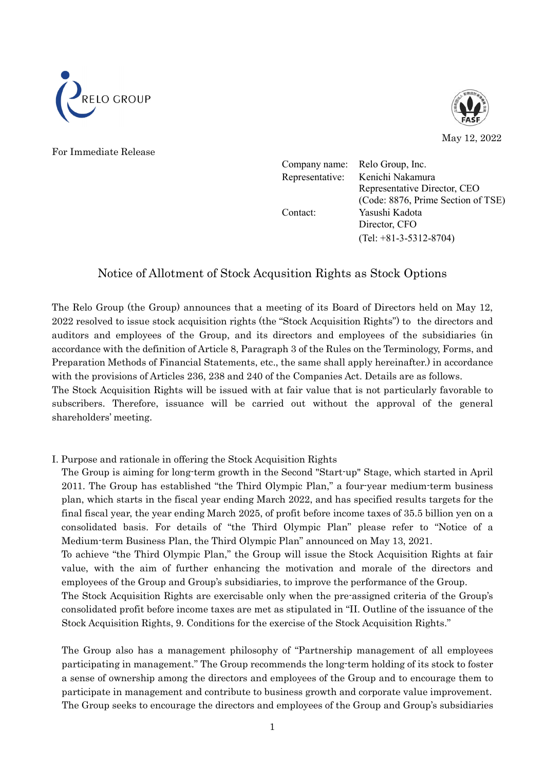



For Immediate Release

Company name: Relo Group, Inc. Representative: Kenichi Nakamura Representative Director, CEO (Code: 8876, Prime Section of TSE) Contact: Yasushi Kadota Director, CFO (Tel: +81-3-5312-8704)

## Notice of Allotment of Stock Acqusition Rights as Stock Options

The Relo Group (the Group) announces that a meeting of its Board of Directors held on May 12, 2022 resolved to issue stock acquisition rights (the "Stock Acquisition Rights") to the directors and auditors and employees of the Group, and its directors and employees of the subsidiaries (in accordance with the definition of Article 8, Paragraph 3 of the Rules on the Terminology, Forms, and Preparation Methods of Financial Statements, etc., the same shall apply hereinafter.) in accordance with the provisions of Articles 236, 238 and 240 of the Companies Act. Details are as follows.

The Stock Acquisition Rights will be issued with at fair value that is not particularly favorable to subscribers. Therefore, issuance will be carried out without the approval of the general shareholders' meeting.

I. Purpose and rationale in offering the Stock Acquisition Rights

The Group is aiming for long-term growth in the Second "Start-up" Stage, which started in April 2011. The Group has established "the Third Olympic Plan," a four-year medium-term business plan, which starts in the fiscal year ending March 2022, and has specified results targets for the final fiscal year, the year ending March 2025, of profit before income taxes of 35.5 billion yen on a consolidated basis. For details of "the Third Olympic Plan" please refer to "Notice of a Medium-term Business Plan, the Third Olympic Plan" announced on May 13, 2021.

To achieve "the Third Olympic Plan," the Group will issue the Stock Acquisition Rights at fair value, with the aim of further enhancing the motivation and morale of the directors and employees of the Group and Group's subsidiaries, to improve the performance of the Group.

The Stock Acquisition Rights are exercisable only when the pre-assigned criteria of the Group's consolidated profit before income taxes are met as stipulated in "II. Outline of the issuance of the Stock Acquisition Rights, 9. Conditions for the exercise of the Stock Acquisition Rights."

The Group also has a management philosophy of "Partnership management of all employees participating in management." The Group recommends the long-term holding of its stock to foster a sense of ownership among the directors and employees of the Group and to encourage them to participate in management and contribute to business growth and corporate value improvement. The Group seeks to encourage the directors and employees of the Group and Group's subsidiaries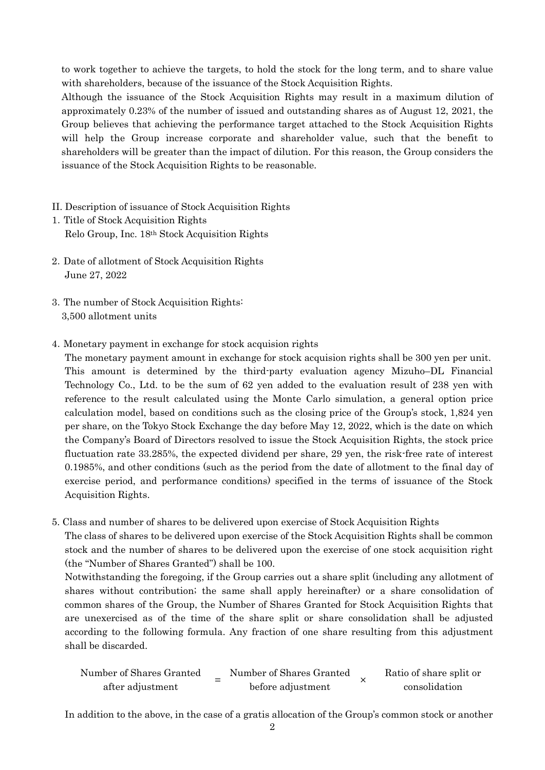to work together to achieve the targets, to hold the stock for the long term, and to share value with shareholders, because of the issuance of the Stock Acquisition Rights.

Although the issuance of the Stock Acquisition Rights may result in a maximum dilution of approximately 0.23% of the number of issued and outstanding shares as of August 12, 2021, the Group believes that achieving the performance target attached to the Stock Acquisition Rights will help the Group increase corporate and shareholder value, such that the benefit to shareholders will be greater than the impact of dilution. For this reason, the Group considers the issuance of the Stock Acquisition Rights to be reasonable.

- II. Description of issuance of Stock Acquisition Rights
- 1.Title of Stock Acquisition Rights Relo Group, Inc. 18th Stock Acquisition Rights
- 2.Date of allotment of Stock Acquisition Rights June 27, 2022
- 3.The number of Stock Acquisition Rights: 3,500 allotment units
- 4.Monetary payment in exchange for stock acquision rights

The monetary payment amount in exchange for stock acquision rights shall be 300 yen per unit. This amount is determined by the third-party evaluation agency Mizuho–DL Financial Technology Co., Ltd. to be the sum of 62 yen added to the evaluation result of 238 yen with reference to the result calculated using the Monte Carlo simulation, a general option price calculation model, based on conditions such as the closing price of the Group's stock, 1,824 yen per share, on the Tokyo Stock Exchange the day before May 12, 2022, which is the date on which the Company's Board of Directors resolved to issue the Stock Acquisition Rights, the stock price fluctuation rate 33.285%, the expected dividend per share, 29 yen, the risk-free rate of interest 0.1985%, and other conditions (such as the period from the date of allotment to the final day of exercise period, and performance conditions) specified in the terms of issuance of the Stock Acquisition Rights.

5. Class and number of shares to be delivered upon exercise of Stock Acquisition Rights

The class of shares to be delivered upon exercise of the Stock Acquisition Rights shall be common stock and the number of shares to be delivered upon the exercise of one stock acquisition right (the "Number of Shares Granted") shall be 100.

Notwithstanding the foregoing, if the Group carries out a share split (including any allotment of shares without contribution; the same shall apply hereinafter) or a share consolidation of common shares of the Group, the Number of Shares Granted for Stock Acquisition Rights that are unexercised as of the time of the share split or share consolidation shall be adjusted according to the following formula. Any fraction of one share resulting from this adjustment shall be discarded.

Number of Shares Granted ber of Shares Granted  $\frac{1}{2}$  Number of Shares Granted<br>after adjustment before adjustment before adjustment × Ratio of share split or consolidation

In addition to the above, in the case of a gratis allocation of the Group's common stock or another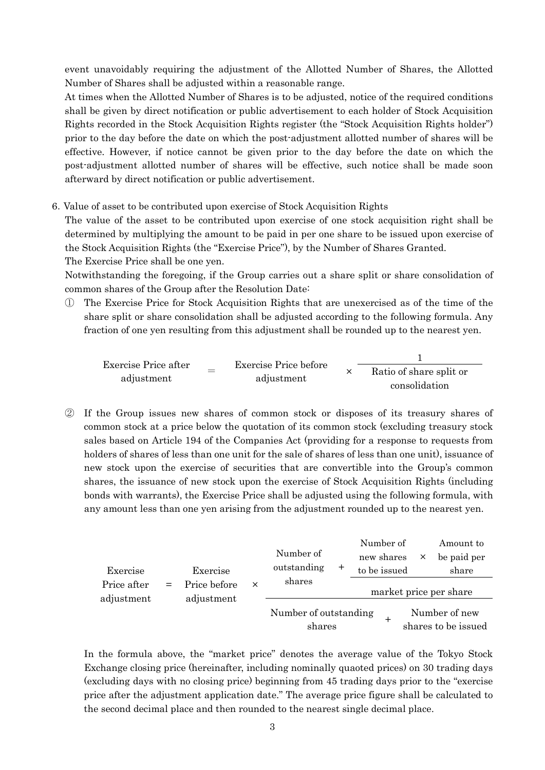event unavoidably requiring the adjustment of the Allotted Number of Shares, the Allotted Number of Shares shall be adjusted within a reasonable range.

At times when the Allotted Number of Shares is to be adjusted, notice of the required conditions shall be given by direct notification or public advertisement to each holder of Stock Acquisition Rights recorded in the Stock Acquisition Rights register (the "Stock Acquisition Rights holder") prior to the day before the date on which the post-adjustment allotted number of shares will be effective. However, if notice cannot be given prior to the day before the date on which the post-adjustment allotted number of shares will be effective, such notice shall be made soon afterward by direct notification or public advertisement.

6.Value of asset to be contributed upon exercise of Stock Acquisition Rights

The value of the asset to be contributed upon exercise of one stock acquisition right shall be determined by multiplying the amount to be paid in per one share to be issued upon exercise of the Stock Acquisition Rights (the "Exercise Price"), by the Number of Shares Granted.

The Exercise Price shall be one yen.

Notwithstanding the foregoing, if the Group carries out a share split or share consolidation of common shares of the Group after the Resolution Date:

① The Exercise Price for Stock Acquisition Rights that are unexercised as of the time of the share split or share consolidation shall be adjusted according to the following formula. Any fraction of one yen resulting from this adjustment shall be rounded up to the nearest yen.

|                      |  | Exercise Price before<br>adjustment |  |                         |  |  |
|----------------------|--|-------------------------------------|--|-------------------------|--|--|
| Exercise Price after |  |                                     |  | Ratio of share split or |  |  |
| adjustment           |  |                                     |  | consolidation           |  |  |

② If the Group issues new shares of common stock or disposes of its treasury shares of common stock at a price below the quotation of its common stock (excluding treasury stock sales based on Article 194 of the Companies Act (providing for a response to requests from holders of shares of less than one unit for the sale of shares of less than one unit), issuance of new stock upon the exercise of securities that are convertible into the Group's common shares, the issuance of new stock upon the exercise of Stock Acquisition Rights (including bonds with warrants), the Exercise Price shall be adjusted using the following formula, with any amount less than one yen arising from the adjustment rounded up to the nearest yen.

| Exercise    | Exercise     |          | Number of<br>outstanding        | $^{\mathrm{+}}$ | Number of<br>new shares<br>to be issued | $\times$ | Amount to<br>be paid per<br>share    |
|-------------|--------------|----------|---------------------------------|-----------------|-----------------------------------------|----------|--------------------------------------|
| Price after | Price before | $\times$ | shares                          |                 | market price per share                  |          |                                      |
| adjustment  | adjustment   |          | Number of outstanding<br>shares |                 | $^+$                                    |          | Number of new<br>shares to be issued |

In the formula above, the "market price" denotes the average value of the Tokyo Stock Exchange closing price (hereinafter, including nominally quaoted prices) on 30 trading days (excluding days with no closing price) beginning from 45 trading days prior to the "exercise price after the adjustment application date." The average price figure shall be calculated to the second decimal place and then rounded to the nearest single decimal place.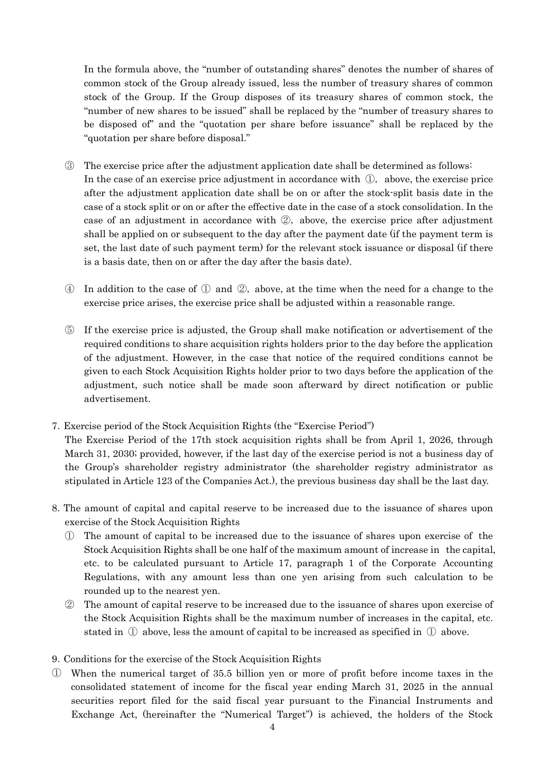In the formula above, the "number of outstanding shares" denotes the number of shares of common stock of the Group already issued, less the number of treasury shares of common stock of the Group. If the Group disposes of its treasury shares of common stock, the "number of new shares to be issued" shall be replaced by the "number of treasury shares to be disposed of" and the "quotation per share before issuance" shall be replaced by the "quotation per share before disposal."

- ③ The exercise price after the adjustment application date shall be determined as follows: In the case of an exercise price adjustment in accordance with ①, above, the exercise price after the adjustment application date shall be on or after the stock-split basis date in the case of a stock split or on or after the effective date in the case of a stock consolidation. In the case of an adjustment in accordance with ②, above, the exercise price after adjustment shall be applied on or subsequent to the day after the payment date (if the payment term is set, the last date of such payment term) for the relevant stock issuance or disposal (if there is a basis date, then on or after the day after the basis date).
- ④ In addition to the case of ① and ②, above, at the time when the need for a change to the exercise price arises, the exercise price shall be adjusted within a reasonable range.
- ⑤ If the exercise price is adjusted, the Group shall make notification or advertisement of the required conditions to share acquisition rights holders prior to the day before the application of the adjustment. However, in the case that notice of the required conditions cannot be given to each Stock Acquisition Rights holder prior to two days before the application of the adjustment, such notice shall be made soon afterward by direct notification or public advertisement.
- 7.Exercise period of the Stock Acquisition Rights (the "Exercise Period")

The Exercise Period of the 17th stock acquisition rights shall be from April 1, 2026, through March 31, 2030; provided, however, if the last day of the exercise period is not a business day of the Group's shareholder registry administrator (the shareholder registry administrator as stipulated in Article 123 of the Companies Act.), the previous business day shall be the last day.

- 8.The amount of capital and capital reserve to be increased due to the issuance of shares upon exercise of the Stock Acquisition Rights
	- ① The amount of capital to be increased due to the issuance of shares upon exercise of the Stock Acquisition Rights shall be one half of the maximum amount of increase in the capital, etc. to be calculated pursuant to Article 17, paragraph 1 of the Corporate Accounting Regulations, with any amount less than one yen arising from such calculation to be rounded up to the nearest yen.
	- ② The amount of capital reserve to be increased due to the issuance of shares upon exercise of the Stock Acquisition Rights shall be the maximum number of increases in the capital, etc. stated in  $\mathbb D$  above, less the amount of capital to be increased as specified in  $\mathbb D$  above.
- 9.Conditions for the exercise of the Stock Acquisition Rights
- ① When the numerical target of 35.5 billion yen or more of profit before income taxes in the consolidated statement of income for the fiscal year ending March 31, 2025 in the annual securities report filed for the said fiscal year pursuant to the Financial Instruments and Exchange Act, (hereinafter the "Numerical Target") is achieved, the holders of the Stock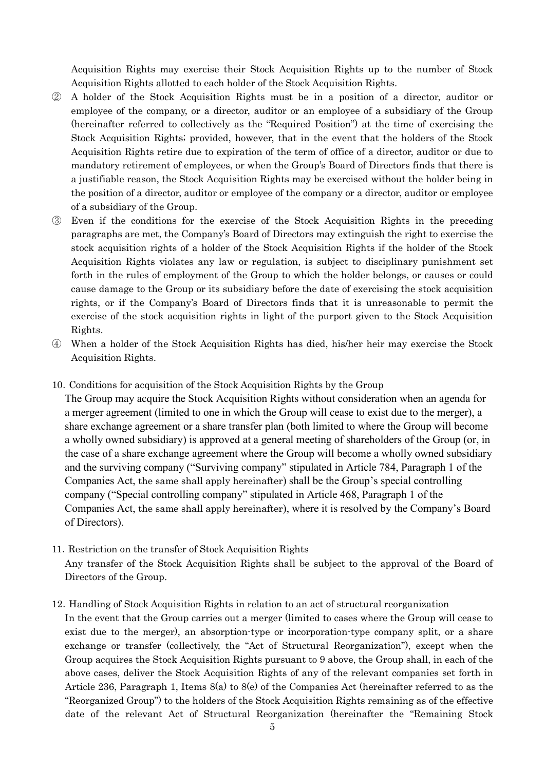Acquisition Rights may exercise their Stock Acquisition Rights up to the number of Stock Acquisition Rights allotted to each holder of the Stock Acquisition Rights.

- ② A holder of the Stock Acquisition Rights must be in a position of a director, auditor or employee of the company, or a director, auditor or an employee of a subsidiary of the Group (hereinafter referred to collectively as the "Required Position") at the time of exercising the Stock Acquisition Rights; provided, however, that in the event that the holders of the Stock Acquisition Rights retire due to expiration of the term of office of a director, auditor or due to mandatory retirement of employees, or when the Group's Board of Directors finds that there is a justifiable reason, the Stock Acquisition Rights may be exercised without the holder being in the position of a director, auditor or employee of the company or a director, auditor or employee of a subsidiary of the Group.
- ③ Even if the conditions for the exercise of the Stock Acquisition Rights in the preceding paragraphs are met, the Company's Board of Directors may extinguish the right to exercise the stock acquisition rights of a holder of the Stock Acquisition Rights if the holder of the Stock Acquisition Rights violates any law or regulation, is subject to disciplinary punishment set forth in the rules of employment of the Group to which the holder belongs, or causes or could cause damage to the Group or its subsidiary before the date of exercising the stock acquisition rights, or if the Company's Board of Directors finds that it is unreasonable to permit the exercise of the stock acquisition rights in light of the purport given to the Stock Acquisition Rights.
- ④ When a holder of the Stock Acquisition Rights has died, his/her heir may exercise the Stock Acquisition Rights.
- 10.Conditions for acquisition of the Stock Acquisition Rights by the Group

The Group may acquire the Stock Acquisition Rights without consideration when an agenda for a merger agreement (limited to one in which the Group will cease to exist due to the merger), a share exchange agreement or a share transfer plan (both limited to where the Group will become a wholly owned subsidiary) is approved at a general meeting of shareholders of the Group (or, in the case of a share exchange agreement where the Group will become a wholly owned subsidiary and the surviving company ("Surviving company" stipulated in Article 784, Paragraph 1 of the Companies Act, the same shall apply hereinafter) shall be the Group's special controlling company ("Special controlling company" stipulated in Article 468, Paragraph 1 of the Companies Act, the same shall apply hereinafter), where it is resolved by the Company's Board of Directors).

- 11.Restriction on the transfer of Stock Acquisition Rights Any transfer of the Stock Acquisition Rights shall be subject to the approval of the Board of Directors of the Group.
- 12.Handling of Stock Acquisition Rights in relation to an act of structural reorganization

In the event that the Group carries out a merger (limited to cases where the Group will cease to exist due to the merger), an absorption-type or incorporation-type company split, or a share exchange or transfer (collectively, the "Act of Structural Reorganization"), except when the Group acquires the Stock Acquisition Rights pursuant to 9 above, the Group shall, in each of the above cases, deliver the Stock Acquisition Rights of any of the relevant companies set forth in Article 236, Paragraph 1, Items 8(a) to 8(e) of the Companies Act (hereinafter referred to as the "Reorganized Group") to the holders of the Stock Acquisition Rights remaining as of the effective date of the relevant Act of Structural Reorganization (hereinafter the "Remaining Stock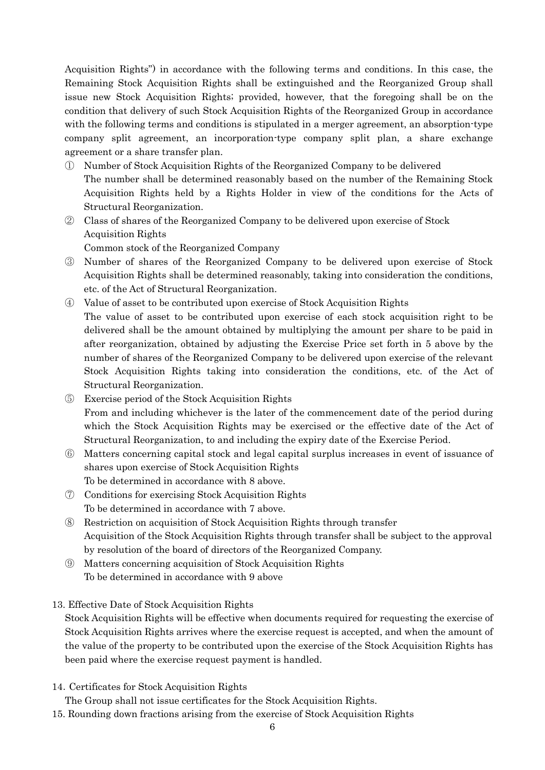Acquisition Rights") in accordance with the following terms and conditions. In this case, the Remaining Stock Acquisition Rights shall be extinguished and the Reorganized Group shall issue new Stock Acquisition Rights; provided, however, that the foregoing shall be on the condition that delivery of such Stock Acquisition Rights of the Reorganized Group in accordance with the following terms and conditions is stipulated in a merger agreement, an absorption-type company split agreement, an incorporation-type company split plan, a share exchange agreement or a share transfer plan.

- ① Number of Stock Acquisition Rights of the Reorganized Company to be delivered The number shall be determined reasonably based on the number of the Remaining Stock Acquisition Rights held by a Rights Holder in view of the conditions for the Acts of Structural Reorganization.
- ② Class of shares of the Reorganized Company to be delivered upon exercise of Stock Acquisition Rights

Common stock of the Reorganized Company

- ③ Number of shares of the Reorganized Company to be delivered upon exercise of Stock Acquisition Rights shall be determined reasonably, taking into consideration the conditions, etc. of the Act of Structural Reorganization.
- ④ Value of asset to be contributed upon exercise of Stock Acquisition Rights The value of asset to be contributed upon exercise of each stock acquisition right to be delivered shall be the amount obtained by multiplying the amount per share to be paid in after reorganization, obtained by adjusting the Exercise Price set forth in 5 above by the number of shares of the Reorganized Company to be delivered upon exercise of the relevant Stock Acquisition Rights taking into consideration the conditions, etc. of the Act of Structural Reorganization.
- ⑤ Exercise period of the Stock Acquisition Rights From and including whichever is the later of the commencement date of the period during which the Stock Acquisition Rights may be exercised or the effective date of the Act of Structural Reorganization, to and including the expiry date of the Exercise Period.
- ⑥ Matters concerning capital stock and legal capital surplus increases in event of issuance of shares upon exercise of Stock Acquisition Rights To be determined in accordance with 8 above.
- ⑦ Conditions for exercising Stock Acquisition Rights To be determined in accordance with 7 above.
- ⑧ Restriction on acquisition of Stock Acquisition Rights through transfer Acquisition of the Stock Acquisition Rights through transfer shall be subject to the approval by resolution of the board of directors of the Reorganized Company.
- ⑨ Matters concerning acquisition of Stock Acquisition Rights To be determined in accordance with 9 above
- 13. Effective Date of Stock Acquisition Rights

Stock Acquisition Rights will be effective when documents required for requesting the exercise of Stock Acquisition Rights arrives where the exercise request is accepted, and when the amount of the value of the property to be contributed upon the exercise of the Stock Acquisition Rights has been paid where the exercise request payment is handled.

14.Certificates for Stock Acquisition Rights

The Group shall not issue certificates for the Stock Acquisition Rights.

15. Rounding down fractions arising from the exercise of Stock Acquisition Rights